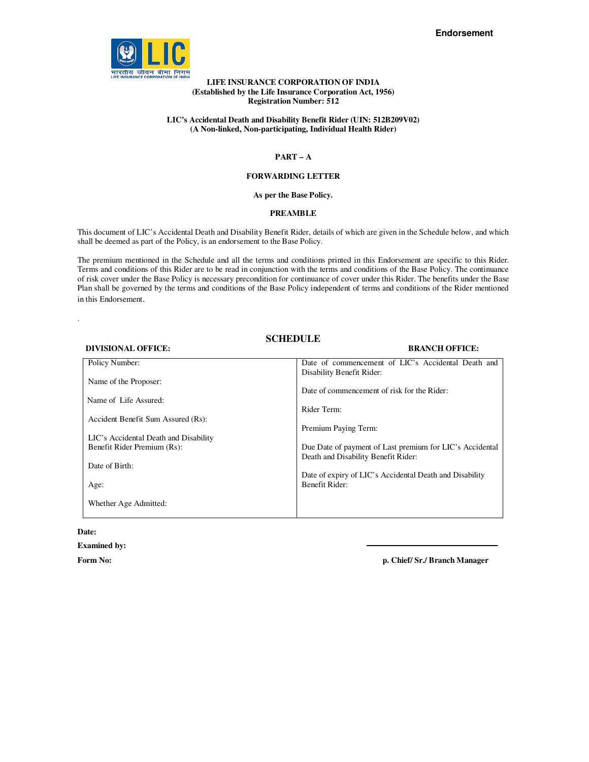

## **LIFE INSURANCE CORPORATION OF INDIA (Established by the Life Insurance Corporation Act, 1956) Registration Number: 512**

## **LIC's Accidental Death and Disability Benefit Rider (UIN: 512B209V02) (A Non-linked, Non-participating, Individual Health Rider)**

## **PART – A**

## **FORWARDING LETTER**

### **As per the Base Policy.**

## **PREAMBLE**

This document of LIC's Accidental Death and Disability Benefit Rider, details of which are given in the Schedule below, and which shall be deemed as part of the Policy, is an endorsement to the Base Policy.

The premium mentioned in the Schedule and all the terms and conditions printed in this Endorsement are specific to this Rider. Terms and conditions of this Rider are to be read in conjunction with the terms and conditions of the Base Policy. The continuance of risk cover under the Base Policy is necessary precondition for continuance of cover under this Rider. The benefits under the Base Plan shall be governed by the terms and conditions of the Base Policy independent of terms and conditions of the Rider mentioned in this Endorsement.

# **SCHEDULE**

### **DIVISIONAL OFFICE: BRANCH OFFICE:**

| Policy Number:                        | Date of commencement of LIC's Accidental Death and       |
|---------------------------------------|----------------------------------------------------------|
|                                       | Disability Benefit Rider:                                |
|                                       |                                                          |
| Name of the Proposer:                 |                                                          |
|                                       | Date of commencement of risk for the Rider:              |
| Name of Life Assured:                 |                                                          |
|                                       |                                                          |
|                                       | Rider Term:                                              |
| Accident Benefit Sum Assured (Rs):    |                                                          |
|                                       | Premium Paying Term:                                     |
|                                       |                                                          |
| LIC's Accidental Death and Disability |                                                          |
| Benefit Rider Premium (Rs):           | Due Date of payment of Last premium for LIC's Accidental |
|                                       | Death and Disability Benefit Rider:                      |
|                                       |                                                          |
| Date of Birth:                        |                                                          |
|                                       | Date of expiry of LIC's Accidental Death and Disability  |
| Age:                                  | Benefit Rider:                                           |
|                                       |                                                          |
|                                       |                                                          |
| Whether Age Admitted:                 |                                                          |
|                                       |                                                          |
|                                       |                                                          |

### **Date:**

.

### **Examined by:**

**Form No: p. Chief/ Sr./ Branch Manager**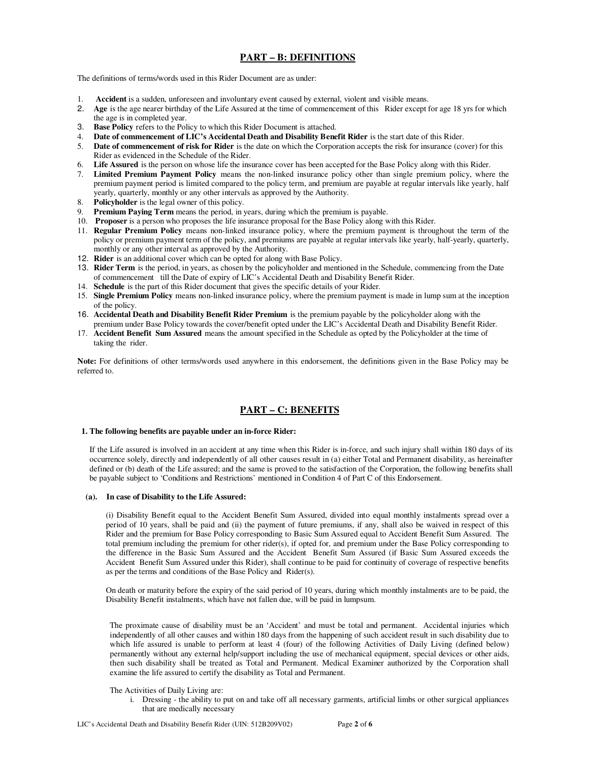# **PART – B: DEFINITIONS**

The definitions of terms/words used in this Rider Document are as under:

- **Accident** is a sudden, unforeseen and involuntary event caused by external, violent and visible means.
- 2. **Age** is the age nearer birthday of the Life Assured at the time of commencement of this Rider except for age 18 yrs for which the age is in completed year.
- 3. **Base Policy** refers to the Policy to which this Rider Document is attached.<br>4. **Date of commencement of LIC's Accidental Death and Disability Rene**
- 4. **Date of commencement of LIC's Accidental Death and Disability Benefit Rider** is the start date of this Rider.<br>5. **Date of commencement of risk for Rider** is the date on which the Corporation accepts the risk for insura
- **Date of commencement of risk for Rider** is the date on which the Corporation accepts the risk for insurance (cover) for this Rider as evidenced in the Schedule of the Rider.
- 6. **Life Assured** is the person on whose life the insurance cover has been accepted for the Base Policy along with this Rider.
- 7. **Limited Premium Payment Policy** means the non-linked insurance policy other than single premium policy, where the premium payment period is limited compared to the policy term, and premium are payable at regular intervals like yearly, half yearly, quarterly, monthly or any other intervals as approved by the Authority.
- 8. **Policyholder** is the legal owner of this policy.
- 9. **Premium Paying Term** means the period, in years, during which the premium is payable.
- 10. **Proposer** is a person who proposes the life insurance proposal for the Base Policy along with this Rider.
- 11. **Regular Premium Policy** means non-linked insurance policy, where the premium payment is throughout the term of the policy or premium payment term of the policy, and premiums are payable at regular intervals like yearly, half-yearly, quarterly, monthly or any other interval as approved by the Authority.
- 12. **Rider** is an additional cover which can be opted for along with Base Policy.
- 13. **Rider Term** is the period, in years, as chosen by the policyholder and mentioned in the Schedule, commencing from the Date of commencement till the Date of expiry of LIC's Accidental Death and Disability Benefit Rider.
- 14. **Schedule** is the part of this Rider document that gives the specific details of your Rider.
- 15. **Single Premium Policy** means non-linked insurance policy, where the premium payment is made in lump sum at the inception of the policy.
- 16. **Accidental Death and Disability Benefit Rider Premium** is the premium payable by the policyholder along with the
- premium under Base Policy towards the cover/benefit opted under the LIC's Accidental Death and Disability Benefit Rider. 17. **Accident Benefit Sum Assured** means the amount specified in the Schedule as opted by the Policyholder at the time of taking the rider.

**Note:** For definitions of other terms/words used anywhere in this endorsement, the definitions given in the Base Policy may be referred to.

# **PART – C: BENEFITS**

#### **1. The following benefits are payable under an in-force Rider:**

 If the Life assured is involved in an accident at any time when this Rider is in-force, and such injury shall within 180 days of its occurrence solely, directly and independently of all other causes result in (a) either Total and Permanent disability, as hereinafter defined or (b) death of the Life assured; and the same is proved to the satisfaction of the Corporation, the following benefits shall be payable subject to 'Conditions and Restrictions' mentioned in Condition 4 of Part C of this Endorsement.

### **(a). In case of Disability to the Life Assured:**

(i) Disability Benefit equal to the Accident Benefit Sum Assured, divided into equal monthly instalments spread over a period of 10 years, shall be paid and (ii) the payment of future premiums, if any, shall also be waived in respect of this Rider and the premium for Base Policy corresponding to Basic Sum Assured equal to Accident Benefit Sum Assured. The total premium including the premium for other rider(s), if opted for, and premium under the Base Policy corresponding to the difference in the Basic Sum Assured and the Accident Benefit Sum Assured (if Basic Sum Assured exceeds the Accident Benefit Sum Assured under this Rider), shall continue to be paid for continuity of coverage of respective benefits as per the terms and conditions of the Base Policy and Rider(s).

On death or maturity before the expiry of the said period of 10 years, during which monthly instalments are to be paid, the Disability Benefit instalments, which have not fallen due, will be paid in lumpsum.

The proximate cause of disability must be an 'Accident' and must be total and permanent. Accidental injuries which independently of all other causes and within 180 days from the happening of such accident result in such disability due to which life assured is unable to perform at least 4 (four) of the following Activities of Daily Living (defined below) permanently without any external help/support including the use of mechanical equipment, special devices or other aids, then such disability shall be treated as Total and Permanent. Medical Examiner authorized by the Corporation shall examine the life assured to certify the disability as Total and Permanent.

The Activities of Daily Living are:

i. Dressing - the ability to put on and take off all necessary garments, artificial limbs or other surgical appliances that are medically necessary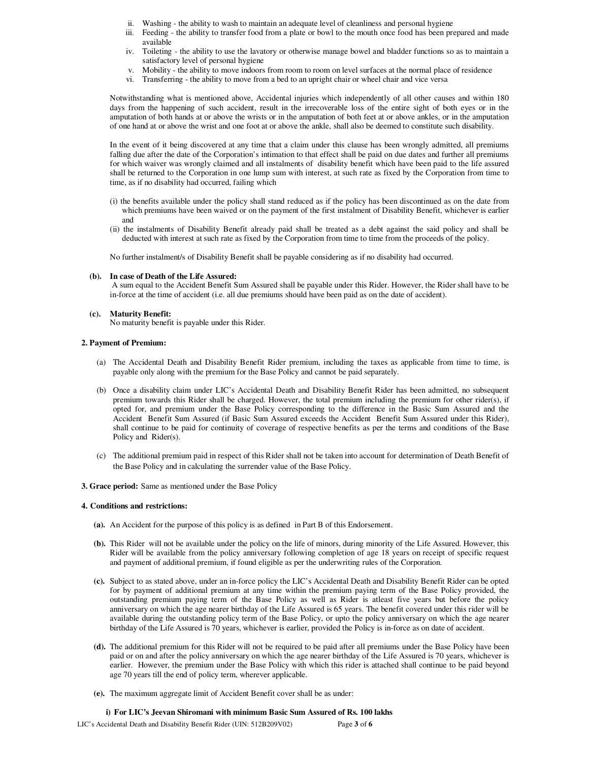- ii. Washing the ability to wash to maintain an adequate level of cleanliness and personal hygiene
- iii. Feeding the ability to transfer food from a plate or bowl to the mouth once food has been prepared and made available
- iv. Toileting the ability to use the lavatory or otherwise manage bowel and bladder functions so as to maintain a satisfactory level of personal hygiene
- v. Mobility the ability to move indoors from room to room on level surfaces at the normal place of residence
- vi. Transferring the ability to move from a bed to an upright chair or wheel chair and vice versa

Notwithstanding what is mentioned above, Accidental injuries which independently of all other causes and within 180 days from the happening of such accident, result in the irrecoverable loss of the entire sight of both eyes or in the amputation of both hands at or above the wrists or in the amputation of both feet at or above ankles, or in the amputation of one hand at or above the wrist and one foot at or above the ankle, shall also be deemed to constitute such disability.

In the event of it being discovered at any time that a claim under this clause has been wrongly admitted, all premiums falling due after the date of the Corporation's intimation to that effect shall be paid on due dates and further all premiums for which waiver was wrongly claimed and all instalments of disability benefit which have been paid to the life assured shall be returned to the Corporation in one lump sum with interest, at such rate as fixed by the Corporation from time to time, as if no disability had occurred, failing which

- (i) the benefits available under the policy shall stand reduced as if the policy has been discontinued as on the date from which premiums have been waived or on the payment of the first instalment of Disability Benefit, whichever is earlier and
- (ii) the instalments of Disability Benefit already paid shall be treated as a debt against the said policy and shall be deducted with interest at such rate as fixed by the Corporation from time to time from the proceeds of the policy.

No further instalment/s of Disability Benefit shall be payable considering as if no disability had occurred.

### **(b). In case of Death of the Life Assured:**

 A sum equal to the Accident Benefit Sum Assured shall be payable under this Rider. However, the Rider shall have to be in-force at the time of accident (i.e. all due premiums should have been paid as on the date of accident).

#### **(c). Maturity Benefit:**

No maturity benefit is payable under this Rider.

### **2. Payment of Premium:**

- (a) The Accidental Death and Disability Benefit Rider premium, including the taxes as applicable from time to time, is payable only along with the premium for the Base Policy and cannot be paid separately.
- (b) Once a disability claim under LIC's Accidental Death and Disability Benefit Rider has been admitted, no subsequent premium towards this Rider shall be charged. However, the total premium including the premium for other rider(s), if opted for, and premium under the Base Policy corresponding to the difference in the Basic Sum Assured and the Accident Benefit Sum Assured (if Basic Sum Assured exceeds the Accident Benefit Sum Assured under this Rider), shall continue to be paid for continuity of coverage of respective benefits as per the terms and conditions of the Base Policy and Rider(s).
- (c) The additional premium paid in respect of this Rider shall not be taken into account for determination of Death Benefit of the Base Policy and in calculating the surrender value of the Base Policy.

#### **3. Grace period:** Same as mentioned under the Base Policy

#### **4. Conditions and restrictions:**

- **(a).** An Accident for the purpose of this policy is as defined in Part B of this Endorsement.
- **(b).** This Rider will not be available under the policy on the life of minors, during minority of the Life Assured. However, this Rider will be available from the policy anniversary following completion of age 18 years on receipt of specific request and payment of additional premium, if found eligible as per the underwriting rules of the Corporation.
- **(c).** Subject to as stated above, under an in-force policy the LIC's Accidental Death and Disability Benefit Rider can be opted for by payment of additional premium at any time within the premium paying term of the Base Policy provided, the outstanding premium paying term of the Base Policy as well as Rider is atleast five years but before the policy anniversary on which the age nearer birthday of the Life Assured is 65 years. The benefit covered under this rider will be available during the outstanding policy term of the Base Policy, or upto the policy anniversary on which the age nearer birthday of the Life Assured is 70 years, whichever is earlier, provided the Policy is in-force as on date of accident.
- **(d).** The additional premium for this Rider will not be required to be paid after all premiums under the Base Policy have been paid or on and after the policy anniversary on which the age nearer birthday of the Life Assured is 70 years, whichever is earlier. However, the premium under the Base Policy with which this rider is attached shall continue to be paid beyond age 70 years till the end of policy term, wherever applicable.
- **(e).** The maximum aggregate limit of Accident Benefit cover shall be as under:

### **i) For LIC's Jeevan Shiromani with minimum Basic Sum Assured of Rs. 100 lakhs**

LIC's Accidental Death and Disability Benefit Rider (UIN: 512B209V02) Page **3** of **6**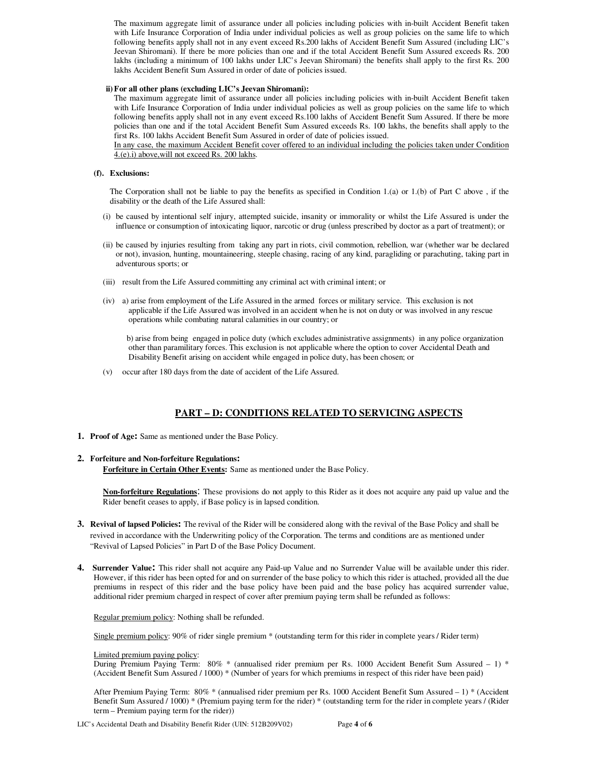The maximum aggregate limit of assurance under all policies including policies with in-built Accident Benefit taken with Life Insurance Corporation of India under individual policies as well as group policies on the same life to which following benefits apply shall not in any event exceed Rs.200 lakhs of Accident Benefit Sum Assured (including LIC's Jeevan Shiromani). If there be more policies than one and if the total Accident Benefit Sum Assured exceeds Rs. 200 lakhs (including a minimum of 100 lakhs under LIC's Jeevan Shiromani) the benefits shall apply to the first Rs. 200 lakhs Accident Benefit Sum Assured in order of date of policies issued.

## **ii)For all other plans (excluding LIC's Jeevan Shiromani):**

The maximum aggregate limit of assurance under all policies including policies with in-built Accident Benefit taken with Life Insurance Corporation of India under individual policies as well as group policies on the same life to which following benefits apply shall not in any event exceed Rs.100 lakhs of Accident Benefit Sum Assured. If there be more policies than one and if the total Accident Benefit Sum Assured exceeds Rs. 100 lakhs, the benefits shall apply to the first Rs. 100 lakhs Accident Benefit Sum Assured in order of date of policies issued.

In any case, the maximum Accident Benefit cover offered to an individual including the policies taken under Condition 4.(e).i) above,will not exceed Rs. 200 lakhs.

## **(f). Exclusions:**

The Corporation shall not be liable to pay the benefits as specified in Condition 1.(a) or 1.(b) of Part C above , if the disability or the death of the Life Assured shall:

- (i) be caused by intentional self injury, attempted suicide, insanity or immorality or whilst the Life Assured is under the influence or consumption of intoxicating liquor, narcotic or drug (unless prescribed by doctor as a part of treatment); or
- (ii) be caused by injuries resulting from taking any part in riots, civil commotion, rebellion, war (whether war be declared or not), invasion, hunting, mountaineering, steeple chasing, racing of any kind, paragliding or parachuting, taking part in adventurous sports; or
- (iii) result from the Life Assured committing any criminal act with criminal intent; or
- (iv) a) arise from employment of the Life Assured in the armed forces or military service. This exclusion is not applicable if the Life Assured was involved in an accident when he is not on duty or was involved in any rescue operations while combating natural calamities in our country; or

 b) arise from being engaged in police duty (which excludes administrative assignments) in any police organization other than paramilitary forces. This exclusion is not applicable where the option to cover Accidental Death and Disability Benefit arising on accident while engaged in police duty, has been chosen; or

(v) occur after 180 days from the date of accident of the Life Assured.

# **PART – D: CONDITIONS RELATED TO SERVICING ASPECTS**

**1. Proof of Age:** Same as mentioned under the Base Policy.

## **2. Forfeiture and Non-forfeiture Regulations:**

**Forfeiture in Certain Other Events:** Same as mentioned under the Base Policy.

**Non-forfeiture Regulations**: These provisions do not apply to this Rider as it does not acquire any paid up value and the Rider benefit ceases to apply, if Base policy is in lapsed condition.

- **3. Revival of lapsed Policies:** The revival of the Rider will be considered along with the revival of the Base Policy and shall be revived in accordance with the Underwriting policy of the Corporation. The terms and conditions are as mentioned under "Revival of Lapsed Policies" in Part D of the Base Policy Document.
- **4. Surrender Value:** This rider shall not acquire any Paid-up Value and no Surrender Value will be available under this rider. However, if this rider has been opted for and on surrender of the base policy to which this rider is attached, provided all the due premiums in respect of this rider and the base policy have been paid and the base policy has acquired surrender value, additional rider premium charged in respect of cover after premium paying term shall be refunded as follows:

## Regular premium policy: Nothing shall be refunded.

Single premium policy: 90% of rider single premium \* (outstanding term for this rider in complete years / Rider term)

Limited premium paying policy:

During Premium Paying Term: 80% \* (annualised rider premium per Rs. 1000 Accident Benefit Sum Assured – 1) \* (Accident Benefit Sum Assured / 1000) \* (Number of years for which premiums in respect of this rider have been paid)

After Premium Paying Term: 80% \* (annualised rider premium per Rs. 1000 Accident Benefit Sum Assured – 1) \* (Accident Benefit Sum Assured / 1000) \* (Premium paying term for the rider) \* (outstanding term for the rider in complete years / (Rider term – Premium paying term for the rider))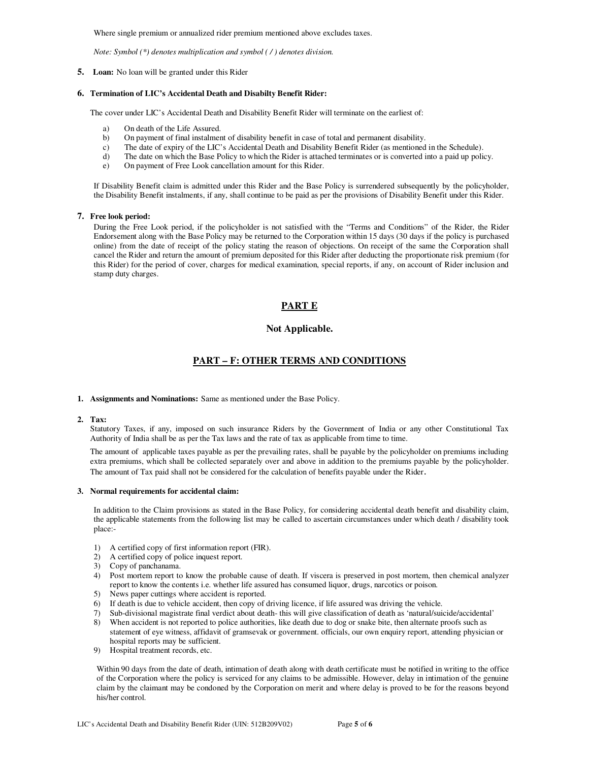Where single premium or annualized rider premium mentioned above excludes taxes.

*Note: Symbol (\*) denotes multiplication and symbol ( / ) denotes division.* 

**5. Loan:** No loan will be granted under this Rider

### **6. Termination of LIC's Accidental Death and Disabilty Benefit Rider:**

The cover under LIC's Accidental Death and Disability Benefit Rider will terminate on the earliest of:

- a) On death of the Life Assured.
- b) On payment of final instalment of disability benefit in case of total and permanent disability.
- c) The date of expiry of the LIC's Accidental Death and Disability Benefit Rider (as mentioned in the Schedule).
- d) The date on which the Base Policy to which the Rider is attached terminates or is converted into a paid up policy.
- e) On payment of Free Look cancellation amount for this Rider.

If Disability Benefit claim is admitted under this Rider and the Base Policy is surrendered subsequently by the policyholder, the Disability Benefit instalments, if any, shall continue to be paid as per the provisions of Disability Benefit under this Rider.

#### **7. Free look period:**

During the Free Look period, if the policyholder is not satisfied with the "Terms and Conditions" of the Rider, the Rider Endorsement along with the Base Policy may be returned to the Corporation within 15 days (30 days if the policy is purchased online) from the date of receipt of the policy stating the reason of objections. On receipt of the same the Corporation shall cancel the Rider and return the amount of premium deposited for this Rider after deducting the proportionate risk premium (for this Rider) for the period of cover, charges for medical examination, special reports, if any, on account of Rider inclusion and stamp duty charges.

## **PART E**

## **Not Applicable.**

## **PART – F: OTHER TERMS AND CONDITIONS**

#### **1. Assignments and Nominations:** Same as mentioned under the Base Policy.

#### **2. Tax:**

Statutory Taxes, if any, imposed on such insurance Riders by the Government of India or any other Constitutional Tax Authority of India shall be as per the Tax laws and the rate of tax as applicable from time to time.

The amount of applicable taxes payable as per the prevailing rates, shall be payable by the policyholder on premiums including extra premiums, which shall be collected separately over and above in addition to the premiums payable by the policyholder. The amount of Tax paid shall not be considered for the calculation of benefits payable under the Rider.

#### **3. Normal requirements for accidental claim:**

In addition to the Claim provisions as stated in the Base Policy, for considering accidental death benefit and disability claim, the applicable statements from the following list may be called to ascertain circumstances under which death / disability took place:-

- 1) A certified copy of first information report (FIR).
- 2) A certified copy of police inquest report.
- 3) Copy of panchanama.
- 4) Post mortem report to know the probable cause of death. If viscera is preserved in post mortem, then chemical analyzer report to know the contents i.e. whether life assured has consumed liquor, drugs, narcotics or poison.
- 5) News paper cuttings where accident is reported.
- 6) If death is due to vehicle accident, then copy of driving licence, if life assured was driving the vehicle.<br>
7) Sub-divisional magistrate final verdict about death- this will give classification of death as 'natural/sui
- 7) Sub-divisional magistrate final verdict about death- this will give classification of death as 'natural/suicide/accidental' 8) When accident is not reported to police authorities, like death due to dog or snake bite, then alternate proofs such as
- statement of eye witness, affidavit of gramsevak or government. officials, our own enquiry report, attending physician or hospital reports may be sufficient.
- 9) Hospital treatment records, etc.

Within 90 days from the date of death, intimation of death along with death certificate must be notified in writing to the office of the Corporation where the policy is serviced for any claims to be admissible. However, delay in intimation of the genuine claim by the claimant may be condoned by the Corporation on merit and where delay is proved to be for the reasons beyond his/her control.